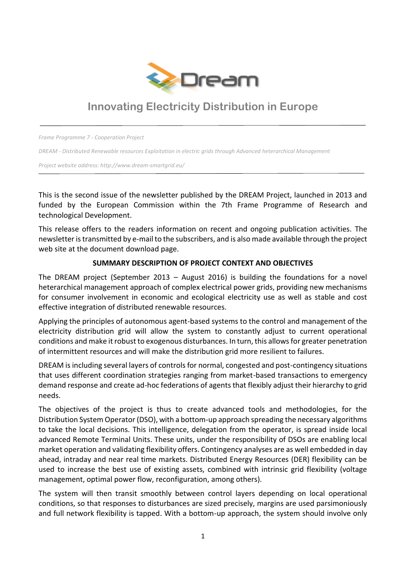

# **Innovating Electricity Distribution in Europe**

*Frame Programme 7 - Cooperation Project* 

*DREAM - Distributed Renewable resources Exploitation in electric grids through Advanced heterarchical Management*

*Project website address: http://www.dream-smartgrid.eu/*

This is the second issue of the newsletter published by the DREAM Project, launched in 2013 and funded by the European Commission within the 7th Frame Programme of Research and technological Development.

This release offers to the readers information on recent and ongoing publication activities. The newsletter is transmitted by e-mail to the subscribers, and is also made available through the project web site at the document download page.

#### **SUMMARY DESCRIPTION OF PROJECT CONTEXT AND OBJECTIVES**

The DREAM project (September 2013 – August 2016) is building the foundations for a novel heterarchical management approach of complex electrical power grids, providing new mechanisms for consumer involvement in economic and ecological electricity use as well as stable and cost effective integration of distributed renewable resources.

Applying the principles of autonomous agent-based systems to the control and management of the electricity distribution grid will allow the system to constantly adjust to current operational conditions and make it robust to exogenous disturbances. In turn, this allows for greater penetration of intermittent resources and will make the distribution grid more resilient to failures.

DREAM is including several layers of controls for normal, congested and post-contingency situations that uses different coordination strategies ranging from market-based transactions to emergency demand response and create ad-hoc federations of agents that flexibly adjust their hierarchy to grid needs.

The objectives of the project is thus to create advanced tools and methodologies, for the Distribution System Operator (DSO), with a bottom-up approach spreading the necessary algorithms to take the local decisions. This intelligence, delegation from the operator, is spread inside local advanced Remote Terminal Units. These units, under the responsibility of DSOs are enabling local market operation and validating flexibility offers. Contingency analyses are as well embedded in day ahead, intraday and near real time markets. Distributed Energy Resources (DER) flexibility can be used to increase the best use of existing assets, combined with intrinsic grid flexibility (voltage management, optimal power flow, reconfiguration, among others).

The system will then transit smoothly between control layers depending on local operational conditions, so that responses to disturbances are sized precisely, margins are used parsimoniously and full network flexibility is tapped. With a bottom-up approach, the system should involve only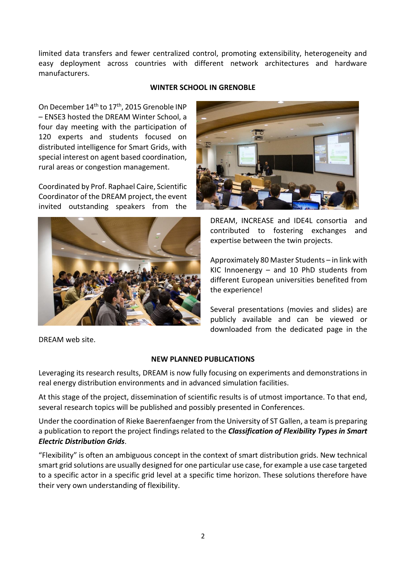limited data transfers and fewer centralized control, promoting extensibility, heterogeneity and easy deployment across countries with different network architectures and hardware manufacturers.

#### **WINTER SCHOOL IN GRENOBLE**

On December 14<sup>th</sup> to 17<sup>th</sup>, 2015 Grenoble INP – ENSE3 hosted the DREAM Winter School, a four day meeting with the participation of 120 experts and students focused on distributed intelligence for Smart Grids, with special interest on agent based coordination, rural areas or congestion management.

Coordinated by Prof. Raphael Caire, Scientific Coordinator of the DREAM project, the event invited outstanding speakers from the



DREAM web site.



DREAM, INCREASE and IDE4L consortia and contributed to fostering exchanges and expertise between the twin projects.

Approximately 80 Master Students – in link with KIC Innoenergy – and 10 PhD students from different European universities benefited from the experience!

Several presentations (movies and slides) are publicly available and can be viewed or downloaded from the dedicated page in the

## **NEW PLANNED PUBLICATIONS**

Leveraging its research results, DREAM is now fully focusing on experiments and demonstrations in real energy distribution environments and in advanced simulation facilities.

At this stage of the project, dissemination of scientific results is of utmost importance. To that end, several research topics will be published and possibly presented in Conferences.

Under the coordination of Rieke Baerenfaenger from the University of ST Gallen, a team is preparing a publication to report the project findings related to the *Classification of Flexibility Types in Smart Electric Distribution Grids*.

"Flexibility" is often an ambiguous concept in the context of smart distribution grids. New technical smart grid solutions are usually designed for one particular use case, for example a use case targeted to a specific actor in a specific grid level at a specific time horizon. These solutions therefore have their very own understanding of flexibility.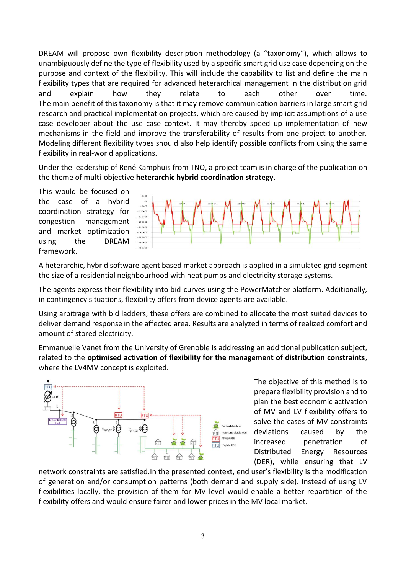DREAM will propose own flexibility description methodology (a "taxonomy"), which allows to unambiguously define the type of flexibility used by a specific smart grid use case depending on the purpose and context of the flexibility. This will include the capability to list and define the main flexibility types that are required for advanced heterarchical management in the distribution grid and explain how they relate to each other over time. The main benefit of this taxonomy is that it may remove communication barriers in large smart grid research and practical implementation projects, which are caused by implicit assumptions of a use case developer about the use case context. It may thereby speed up implementation of new mechanisms in the field and improve the transferability of results from one project to another. Modeling different flexibility types should also help identify possible conflicts from using the same flexibility in real-world applications.

Under the leadership of René Kamphuis from TNO, a project team is in charge of the publication on the theme of multi-objective **heterarchic hybrid coordination strategy**.

This would be focused on the case of a hybrid coordination strategy for congestion management and market optimization using the DREAM framework.



A heterarchic, hybrid software agent based market approach is applied in a simulated grid segment the size of a residential neighbourhood with heat pumps and electricity storage systems.

The agents express their flexibility into bid-curves using the PowerMatcher platform. Additionally, in contingency situations, flexibility offers from device agents are available.

Using arbitrage with bid ladders, these offers are combined to allocate the most suited devices to deliver demand response in the affected area. Results are analyzed in terms of realized comfort and amount of stored electricity.

Emmanuelle Vanet from the University of Grenoble is addressing an additional publication subject, related to the **optimised activation of flexibility for the management of distribution constraints**, where the LV4MV concept is exploited.



The objective of this method is to prepare flexibility provision and to plan the best economic activation of MV and LV flexibility offers to solve the cases of MV constraints deviations caused by the increased penetration of Distributed Energy Resources (DER), while ensuring that LV

network constraints are satisfied.In the presented context, end user's flexibility is the modification of generation and/or consumption patterns (both demand and supply side). Instead of using LV flexibilities locally, the provision of them for MV level would enable a better repartition of the flexibility offers and would ensure fairer and lower prices in the MV local market.